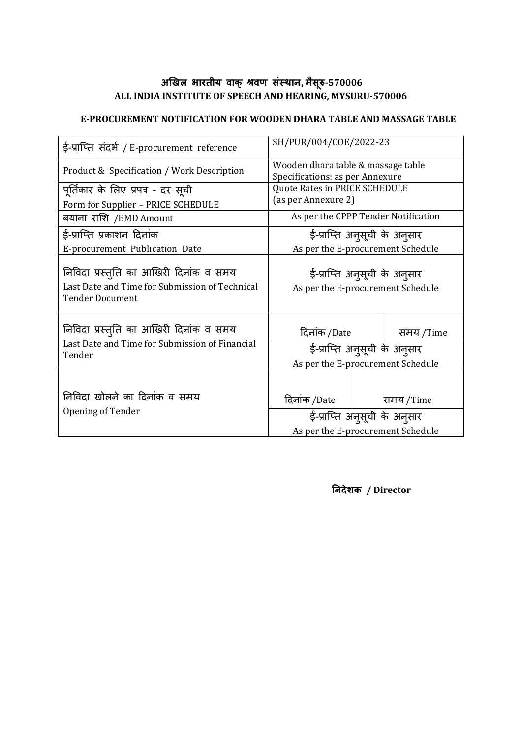### **अखिऱ भारतीय वाक् श्रवण सस्ं थान, मसै रुू-570006 ALL INDIA INSTITUTE OF SPEECH AND HEARING, MYSURU-570006**

#### **E-PROCUREMENT NOTIFICATION FOR WOODEN DHARA TABLE AND MASSAGE TABLE**

| ई-प्राप्ति संदर्भ / E-procurement reference                                                                        | SH/PUR/004/COE/2022-23                                                |                          |           |  |
|--------------------------------------------------------------------------------------------------------------------|-----------------------------------------------------------------------|--------------------------|-----------|--|
| Product & Specification / Work Description                                                                         | Wooden dhara table & massage table<br>Specifications: as per Annexure |                          |           |  |
| पूर्तिकार के लिए प्रपत्र - दर सूची                                                                                 | Quote Rates in PRICE SCHEDULE                                         |                          |           |  |
| Form for Supplier - PRICE SCHEDULE                                                                                 | (as per Annexure 2)                                                   |                          |           |  |
| बयाना राशि /EMD Amount                                                                                             | As per the CPPP Tender Notification                                   |                          |           |  |
| ई-प्राप्ति प्रकाशन दिनांक                                                                                          | ई-प्राप्ति अनुसूची के अनुसार                                          |                          |           |  |
| E-procurement Publication Date                                                                                     | As per the E-procurement Schedule                                     |                          |           |  |
| निविदा प्रस्तुति का आखिरी दिनांक व समय<br>Last Date and Time for Submission of Technical<br><b>Tender Document</b> | ई-प्राप्ति अनुसूची के अनुसार<br>As per the E-procurement Schedule     |                          |           |  |
| निविदा प्रस्तुति का आखिरी दिनांक व समय                                                                             | दिनांक /Date                                                          | <b>Contract Contract</b> | समय /Time |  |
| Last Date and Time for Submission of Financial                                                                     | ई-प्राप्ति अनुसूची के अनुसार                                          |                          |           |  |
| Tender                                                                                                             | As per the E-procurement Schedule                                     |                          |           |  |
| निविदा खोलने का दिनांक व समय                                                                                       | दिनांक /Date                                                          |                          | समय /Time |  |
| Opening of Tender                                                                                                  | ई-प्राप्ति अनुसूची के अनुसार                                          |                          |           |  |
|                                                                                                                    | As per the E-procurement Schedule                                     |                          |           |  |

**ननदेशक / Director**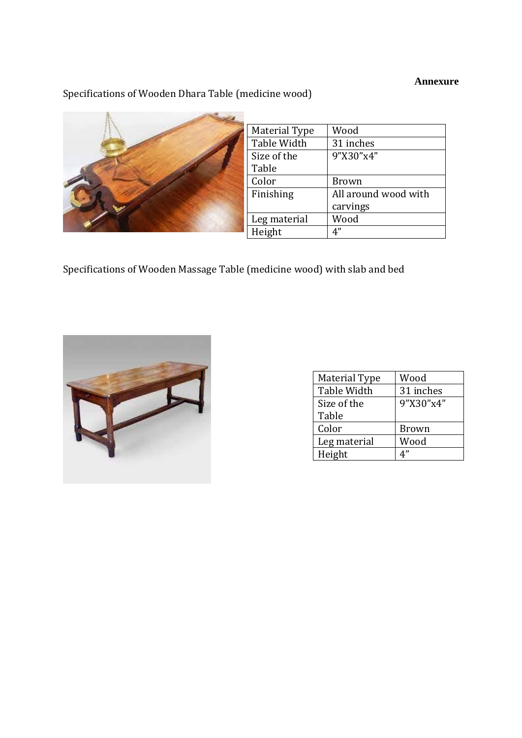### **Annexure**

# Specifications of Wooden Dhara Table (medicine wood)



| Material Type | Wood                 |
|---------------|----------------------|
| Table Width   | 31 inches            |
| Size of the   | 9"X30"x4"            |
| Table         |                      |
| Color         | Brown                |
| Finishing     | All around wood with |
|               | carvings             |
| Leg material  | Wood                 |
| Height        | 4"                   |
|               |                      |

Specifications of Wooden Massage Table (medicine wood) with slab and bed



| <b>Material Type</b> | Wood         |
|----------------------|--------------|
| Table Width          | 31 inches    |
| Size of the          | 9"X30"x4"    |
| Table                |              |
| Color                | <b>Brown</b> |
| Leg material         | Wood         |
| Height               | 4"           |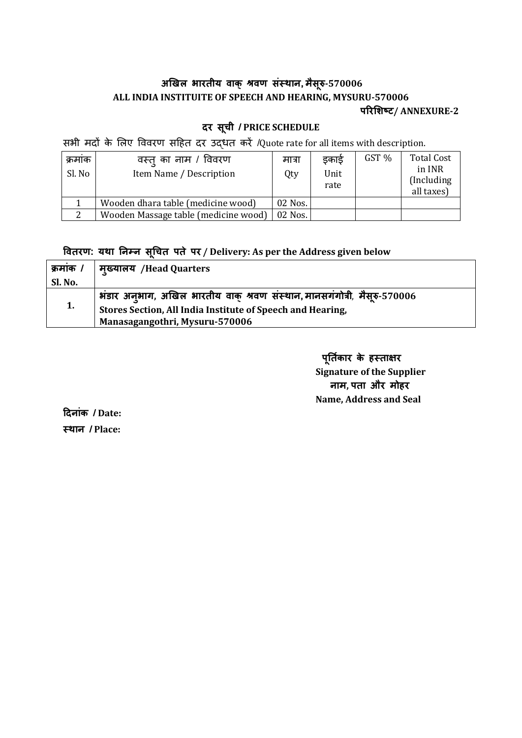### **अखिऱ भारतीय वाक् श्रवण सस्ं थान, मसै रुू-570006 ALL INDIA INSTITUITE OF SPEECH AND HEARING, MYSURU-570006 ऩररशशष्ट/ ANNEXURE-2**

# **दर सचू ी / PRICE SCHEDULE**

सभी मदों के लिए विवरण सहित दर उद्धत करें /Quote rate for all items with description.

| क्रमांक<br>Sl. No | वस्तु का नाम / विवरण<br>Item Name / Description | मात्रा<br>Qty | इकाई<br>Unit<br>rate | GST % | <b>Total Cost</b><br>in INR<br>(Including)<br>all taxes) |
|-------------------|-------------------------------------------------|---------------|----------------------|-------|----------------------------------------------------------|
|                   | Wooden dhara table (medicine wood)              | 02 Nos.       |                      |       |                                                          |
| $\mathcal{D}$     | Wooden Massage table (medicine wood)            | 02 Nos.       |                      |       |                                                          |

**ववतरण: यथा ननम्न सचूचत ऩते ऩर / Delivery: As per the Address given below**

| क्रमाक / | मुख्यालय /Head Quarters                                                   |
|----------|---------------------------------------------------------------------------|
| Sl. No.  |                                                                           |
|          | भंडार अनुभाग, अखिल भारतीय वाक् श्रवण संस्थान, मानसगंगोत्री, मैसूरु-570006 |
| 1.       | Stores Section, All India Institute of Speech and Hearing,                |
|          | Manasagangothri, Mysuru-570006                                            |

 **ऩनूतकि ार के हस्ताऺर Signature of the Supplier नाम, ऩता और मोहर Name, Address and Seal** 

**ददनांक / Date: स्थान / Place:**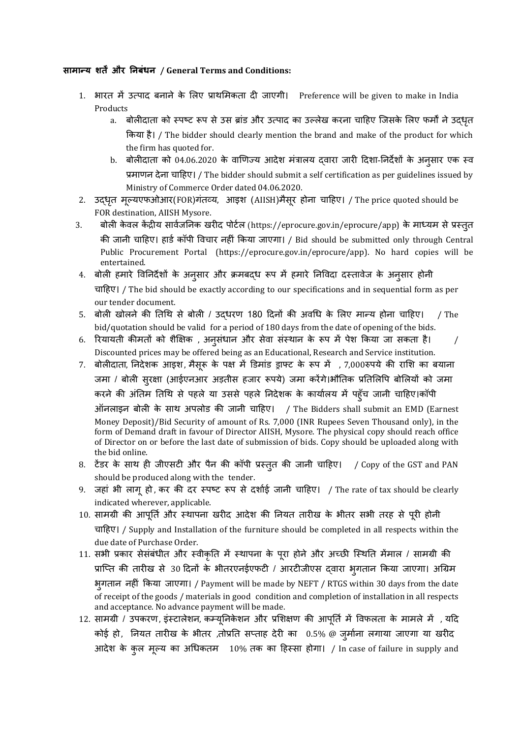#### **सामान्य शतें और ननबंधन / General Terms and Conditions:**

- 1. भारत में उत्पाद बनाने के लिए प्राथमिकता दी जाएगी। Preference will be given to make in India Products
	- a. बोलीदाता को स्पष्ट रूप से उस ब्रांड और उत्पाद का उल्लेख करना चाहिए जिसके लिए फर्मों ने उदधृत ककमा िै। / The bidder should clearly mention the brand and make of the product for which the firm has quoted for.
	- b. बोलीदाता को 04.06.2020 के वाणिज्य आदेश मंत्रालय दवारा जारी दिशा-निर्देशों के अनुसार एक स्व प्रभाणन देना चादिए। / The bidder should submit a self certification as per guidelines issued by Ministry of Commerce Order dated 04.06.2020.
- 2. उद्धृत मूल्यएफओआर(FOR)गंतव्य, आइश (AIISH)मैसूर होना चाहिए। / The price quoted should be FOR destination, AIISH Mysore.
- 3. बोली केवल केंद्रीय सार्वजनिक खरीद पोर्टल (https://eprocure.gov.in/eprocure/app) के माध्यम से प्रस्तुत की जानी चाहिए। हार्ड कॉपी विचार नहीं किया जाएगा। / Bid should be submitted only through Central Public Procurement Portal (https://eprocure.gov.in/eprocure/app). No hard copies will be entertained.
- 4. बोली हमारे विनिर्देशों के अनुसार और क्रमबद्ध रूप में हमारे निविदा दस्तावेज के अनुसार होनी चादिए। / The bid should be exactly according to our specifications and in sequential form as per our tender document.
- 5. बोली खोलने की तिथि से बोली / उद्धरण 180 दिनों की अवधि के लिए मान्य होना चाहिए। / The bid/quotation should be valid for a period of 180 days from the date of opening of the bids.
- 6. रियायती कीमतों को शैक्षिक , अनुसंधान और सेवा संस्थान के रूप में पेश किया जा सकता है। / Discounted prices may be offered being as an Educational, Research and Service institution.
- 7. बोलीदाता, निदेशक आइश, मैसूरू के पक्ष में डिमांड ड्राफ्ट के रूप में , 7,000रुपये की राशि का बयाना जमा / बोली सुरक्षा (आईएनआर अड़तीस हजार रूपये) जमा करेंगे।भौतिक प्रतिलिपि बोलियों को जमा करने की अंतिम तिथि से पहले या उससे पहले निदेशक के कार्यालय में पहूँच जानी चाहिए।कॉपी ऑनराइन फोरी के साथ अऩरोड की जानी चादिए। / The Bidders shall submit an EMD (Earnest Money Deposit)/Bid Security of amount of Rs. 7,000 (INR Rupees Seven Thousand only), in the form of Demand draft in favour of Director AIISH, Mysore. The physical copy should reach office of Director on or before the last date of submission of bids. Copy should be uploaded along with the bid online.
- 8. टेंडर के साथ ही जीएसटी और पैन की कॉपी प्रस्तुत की जानी चाहिए। / Copy of the GST and PAN should be produced along with the tender.
- 9. जहां भी लागू हो ,कर की दर स्पष्ट रूप से दर्शाई जानी चाहिए। / The rate of tax should be clearly indicated wherever, applicable.
- 10. सामग्री की आपूर्ति और स्थापना खरीद आदेश की नियत तारीख के भीतर सभी तरह से पूरी होनी चादिए। / Supply and Installation of the furniture should be completed in all respects within the due date of Purchase Order.
- 11. सभी प्रकार सेसंबंधीत और स्वीकृति में स्थापना के पूरा होने और अच्छी स्थिति मेंमाल / सामग्री की प्राप्ति की तारीख से 30 दिनों के भीतरएनईएफटी / आरटीजीएस द्वारा भुगतान किया जाएगा। अग्रिम भुगतान नहीं किया जाएगा। / Payment will be made by NEFT / RTGS within 30 days from the date of receipt of the goods / materials in good condition and completion of installation in all respects and acceptance. No advance payment will be made.
- 12. सामग्री / उपकरण, इंस्टालेशन, कम्यूनिकेशन और प्रशिक्षण की आपूर्ति में विफलता के मामले में , यदि कोई हो, नियत तारीख के भीतर ,तोप्रति सप्ताह देरी का 0.5% @ जुर्माना लगाया जाएगा या खरीद आदेश के कुल मूल्य का अधिकतम 10% तक का हिस्सा होगा। / In case of failure in supply and